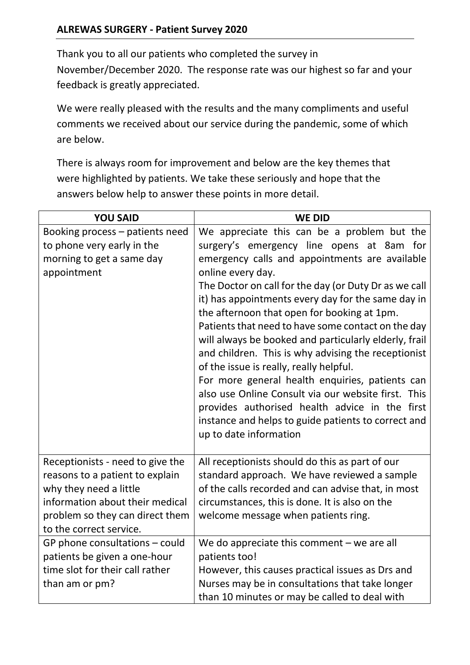Thank you to all our patients who completed the survey in November/December 2020. The response rate was our highest so far and your feedback is greatly appreciated.

We were really pleased with the results and the many compliments and useful comments we received about our service during the pandemic, some of which are below.

There is always room for improvement and below are the key themes that were highlighted by patients. We take these seriously and hope that the answers below help to answer these points in more detail.

| <b>YOU SAID</b>                  | <b>WE DID</b>                                         |
|----------------------------------|-------------------------------------------------------|
| Booking process – patients need  | We appreciate this can be a problem but the           |
| to phone very early in the       | surgery's emergency line opens at 8am for             |
| morning to get a same day        | emergency calls and appointments are available        |
| appointment                      | online every day.                                     |
|                                  | The Doctor on call for the day (or Duty Dr as we call |
|                                  | it) has appointments every day for the same day in    |
|                                  | the afternoon that open for booking at 1pm.           |
|                                  | Patients that need to have some contact on the day    |
|                                  | will always be booked and particularly elderly, frail |
|                                  | and children. This is why advising the receptionist   |
|                                  | of the issue is really, really helpful.               |
|                                  | For more general health enquiries, patients can       |
|                                  | also use Online Consult via our website first. This   |
|                                  | provides authorised health advice in the first        |
|                                  | instance and helps to guide patients to correct and   |
|                                  | up to date information                                |
|                                  |                                                       |
| Receptionists - need to give the | All receptionists should do this as part of our       |
| reasons to a patient to explain  | standard approach. We have reviewed a sample          |
| why they need a little           | of the calls recorded and can advise that, in most    |
| information about their medical  | circumstances, this is done. It is also on the        |
| problem so they can direct them  | welcome message when patients ring.                   |
| to the correct service.          |                                                       |
| GP phone consultations - could   | We do appreciate this comment $-$ we are all          |
| patients be given a one-hour     | patients too!                                         |
| time slot for their call rather  | However, this causes practical issues as Drs and      |
| than am or pm?                   | Nurses may be in consultations that take longer       |
|                                  | than 10 minutes or may be called to deal with         |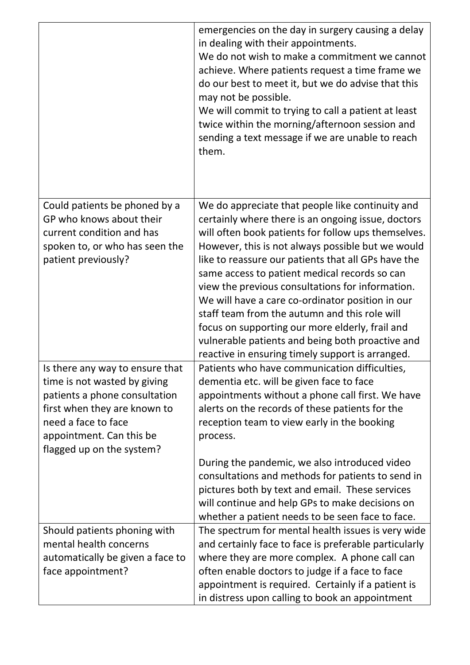|                                                                                                                                                                                                                  | emergencies on the day in surgery causing a delay<br>in dealing with their appointments.<br>We do not wish to make a commitment we cannot<br>achieve. Where patients request a time frame we<br>do our best to meet it, but we do advise that this<br>may not be possible.<br>We will commit to trying to call a patient at least<br>twice within the morning/afternoon session and<br>sending a text message if we are unable to reach<br>them.                                                                                                                                                                                               |
|------------------------------------------------------------------------------------------------------------------------------------------------------------------------------------------------------------------|------------------------------------------------------------------------------------------------------------------------------------------------------------------------------------------------------------------------------------------------------------------------------------------------------------------------------------------------------------------------------------------------------------------------------------------------------------------------------------------------------------------------------------------------------------------------------------------------------------------------------------------------|
| Could patients be phoned by a<br>GP who knows about their<br>current condition and has<br>spoken to, or who has seen the<br>patient previously?                                                                  | We do appreciate that people like continuity and<br>certainly where there is an ongoing issue, doctors<br>will often book patients for follow ups themselves.<br>However, this is not always possible but we would<br>like to reassure our patients that all GPs have the<br>same access to patient medical records so can<br>view the previous consultations for information.<br>We will have a care co-ordinator position in our<br>staff team from the autumn and this role will<br>focus on supporting our more elderly, frail and<br>vulnerable patients and being both proactive and<br>reactive in ensuring timely support is arranged. |
| Is there any way to ensure that<br>time is not wasted by giving<br>patients a phone consultation<br>first when they are known to<br>need a face to face<br>appointment. Can this be<br>flagged up on the system? | Patients who have communication difficulties,<br>dementia etc. will be given face to face<br>appointments without a phone call first. We have<br>alerts on the records of these patients for the<br>reception team to view early in the booking<br>process.<br>During the pandemic, we also introduced video<br>consultations and methods for patients to send in<br>pictures both by text and email. These services<br>will continue and help GPs to make decisions on<br>whether a patient needs to be seen face to face.                                                                                                                    |
| Should patients phoning with<br>mental health concerns<br>automatically be given a face to<br>face appointment?                                                                                                  | The spectrum for mental health issues is very wide<br>and certainly face to face is preferable particularly<br>where they are more complex. A phone call can<br>often enable doctors to judge if a face to face<br>appointment is required. Certainly if a patient is<br>in distress upon calling to book an appointment                                                                                                                                                                                                                                                                                                                       |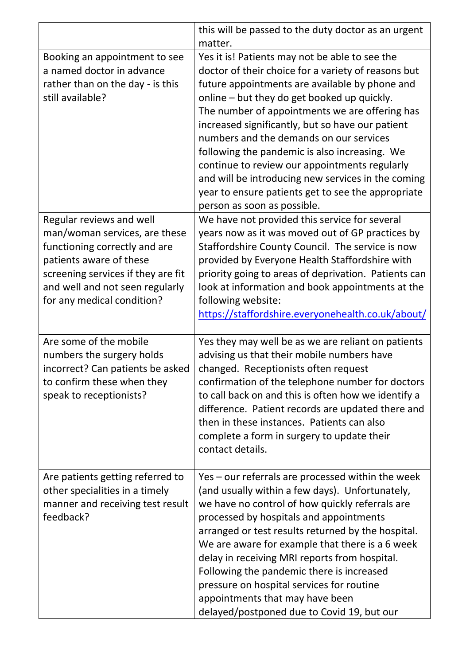|                                                                                                                                                                                                                              | this will be passed to the duty doctor as an urgent<br>matter.                                                                                                                                                                                                                                                                                                                                                                                                                                                                                                                                       |
|------------------------------------------------------------------------------------------------------------------------------------------------------------------------------------------------------------------------------|------------------------------------------------------------------------------------------------------------------------------------------------------------------------------------------------------------------------------------------------------------------------------------------------------------------------------------------------------------------------------------------------------------------------------------------------------------------------------------------------------------------------------------------------------------------------------------------------------|
| Booking an appointment to see<br>a named doctor in advance<br>rather than on the day - is this<br>still available?                                                                                                           | Yes it is! Patients may not be able to see the<br>doctor of their choice for a variety of reasons but<br>future appointments are available by phone and<br>online - but they do get booked up quickly.<br>The number of appointments we are offering has<br>increased significantly, but so have our patient<br>numbers and the demands on our services<br>following the pandemic is also increasing. We<br>continue to review our appointments regularly<br>and will be introducing new services in the coming<br>year to ensure patients get to see the appropriate<br>person as soon as possible. |
| Regular reviews and well<br>man/woman services, are these<br>functioning correctly and are<br>patients aware of these<br>screening services if they are fit<br>and well and not seen regularly<br>for any medical condition? | We have not provided this service for several<br>years now as it was moved out of GP practices by<br>Staffordshire County Council. The service is now<br>provided by Everyone Health Staffordshire with<br>priority going to areas of deprivation. Patients can<br>look at information and book appointments at the<br>following website:<br>https://staffordshire.everyonehealth.co.uk/about/                                                                                                                                                                                                       |
| Are some of the mobile<br>numbers the surgery holds<br>incorrect? Can patients be asked<br>to confirm these when they<br>speak to receptionists?                                                                             | Yes they may well be as we are reliant on patients<br>advising us that their mobile numbers have<br>changed. Receptionists often request<br>confirmation of the telephone number for doctors<br>to call back on and this is often how we identify a<br>difference. Patient records are updated there and<br>then in these instances. Patients can also<br>complete a form in surgery to update their<br>contact details.                                                                                                                                                                             |
| Are patients getting referred to<br>other specialities in a timely<br>manner and receiving test result<br>feedback?                                                                                                          | Yes – our referrals are processed within the week<br>(and usually within a few days). Unfortunately,<br>we have no control of how quickly referrals are<br>processed by hospitals and appointments<br>arranged or test results returned by the hospital.<br>We are aware for example that there is a 6 week<br>delay in receiving MRI reports from hospital.<br>Following the pandemic there is increased<br>pressure on hospital services for routine<br>appointments that may have been<br>delayed/postponed due to Covid 19, but our                                                              |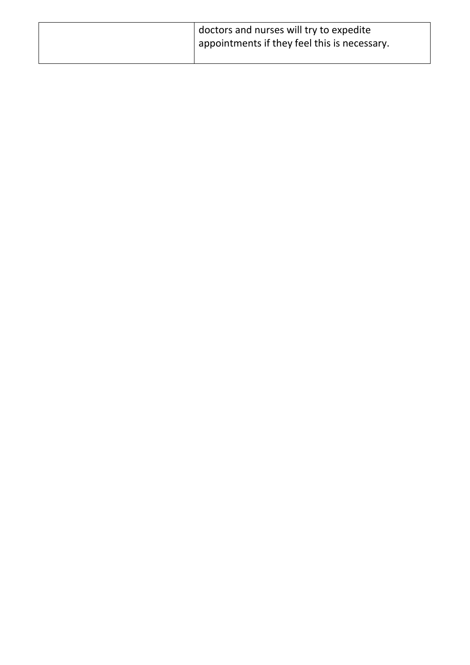| doctors and nurses will try to expedite      |
|----------------------------------------------|
| appointments if they feel this is necessary. |
|                                              |